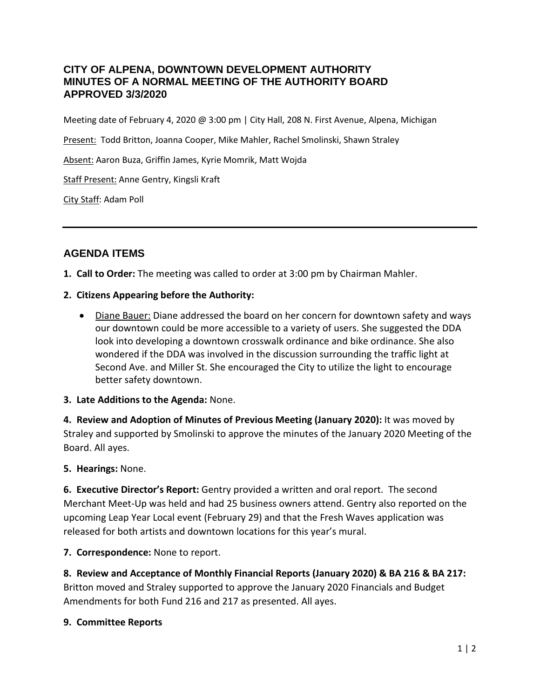## **CITY OF ALPENA, DOWNTOWN DEVELOPMENT AUTHORITY MINUTES OF A NORMAL MEETING OF THE AUTHORITY BOARD APPROVED 3/3/2020**

Meeting date of February 4, 2020 @ 3:00 pm | City Hall, 208 N. First Avenue, Alpena, Michigan

Present: Todd Britton, Joanna Cooper, Mike Mahler, Rachel Smolinski, Shawn Straley

Absent: Aaron Buza, Griffin James, Kyrie Momrik, Matt Wojda

Staff Present: Anne Gentry, Kingsli Kraft

City Staff: Adam Poll

## **AGENDA ITEMS**

**1. Call to Order:** The meeting was called to order at 3:00 pm by Chairman Mahler.

#### **2. Citizens Appearing before the Authority:**

• Diane Bauer: Diane addressed the board on her concern for downtown safety and ways our downtown could be more accessible to a variety of users. She suggested the DDA look into developing a downtown crosswalk ordinance and bike ordinance. She also wondered if the DDA was involved in the discussion surrounding the traffic light at Second Ave. and Miller St. She encouraged the City to utilize the light to encourage better safety downtown.

### **3. Late Additions to the Agenda:** None.

**4. Review and Adoption of Minutes of Previous Meeting (January 2020):** It was moved by Straley and supported by Smolinski to approve the minutes of the January 2020 Meeting of the Board. All ayes.

**5. Hearings:** None.

**6. Executive Director's Report:** Gentry provided a written and oral report. The second Merchant Meet-Up was held and had 25 business owners attend. Gentry also reported on the upcoming Leap Year Local event (February 29) and that the Fresh Waves application was released for both artists and downtown locations for this year's mural.

**7. Correspondence:** None to report.

**8. Review and Acceptance of Monthly Financial Reports (January 2020) & BA 216 & BA 217:**  Britton moved and Straley supported to approve the January 2020 Financials and Budget Amendments for both Fund 216 and 217 as presented. All ayes.

### **9. Committee Reports**